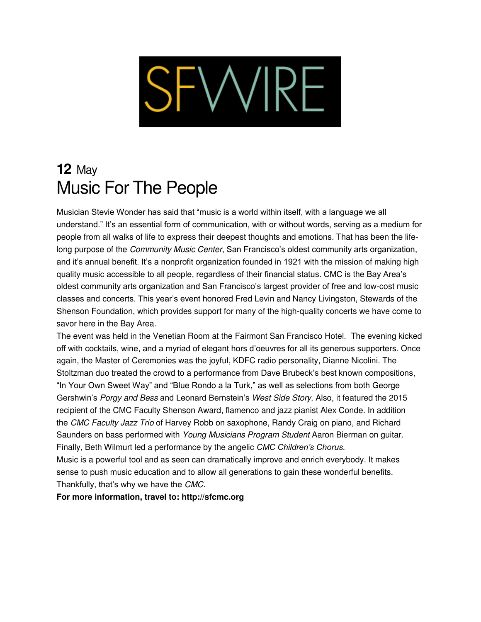

## **12** May Music For The People

Musician Stevie Wonder has said that "music is a world within itself, with a language we all understand." It's an essential form of communication, with or without words, serving as a medium for people from all walks of life to express their deepest thoughts and emotions. That has been the lifelong purpose of the *Community Music Center*, San Francisco's oldest community arts organization, and it's annual benefit. It's a nonprofit organization founded in 1921 with the mission of making high quality music accessible to all people, regardless of their financial status. CMC is the Bay Area's oldest community arts organization and San Francisco's largest provider of free and low-cost music classes and concerts. This year's event honored Fred Levin and Nancy Livingston, Stewards of the Shenson Foundation, which provides support for many of the high-quality concerts we have come to savor here in the Bay Area.

The event was held in the Venetian Room at the Fairmont San Francisco Hotel. The evening kicked off with cocktails, wine, and a myriad of elegant hors d'oeuvres for all its generous supporters. Once again, the Master of Ceremonies was the joyful, KDFC radio personality, Dianne Nicolini. The Stoltzman duo treated the crowd to a performance from Dave Brubeck's best known compositions, "In Your Own Sweet Way" and "Blue Rondo a la Turk," as well as selections from both George Gershwin's *Porgy and Bess* and Leonard Bernstein's *West Side Story*. Also, it featured the 2015 recipient of the CMC Faculty Shenson Award, flamenco and jazz pianist Alex Conde. In addition the *CMC Faculty Jazz Trio* of Harvey Robb on saxophone, Randy Craig on piano, and Richard Saunders on bass performed with *Young Musicians Program Student* Aaron Bierman on guitar. Finally, Beth Wilmurt led a performance by the angelic *CMC Children's Chorus.*

Music is a powerful tool and as seen can dramatically improve and enrich everybody. It makes sense to push music education and to allow all generations to gain these wonderful benefits. Thankfully, that's why we have the *CMC*.

**For more information, travel to: http://sfcmc.org**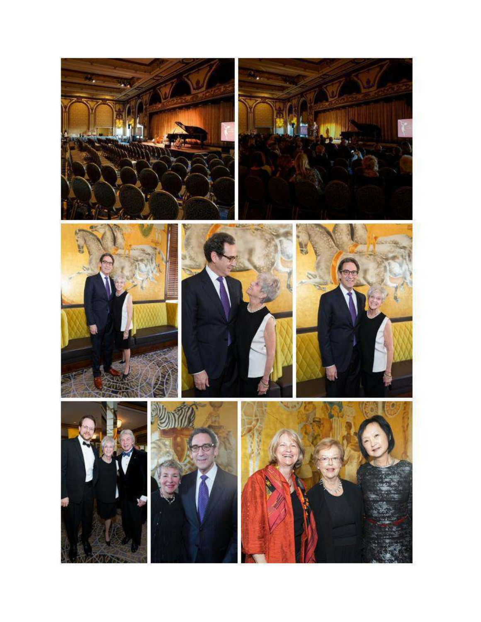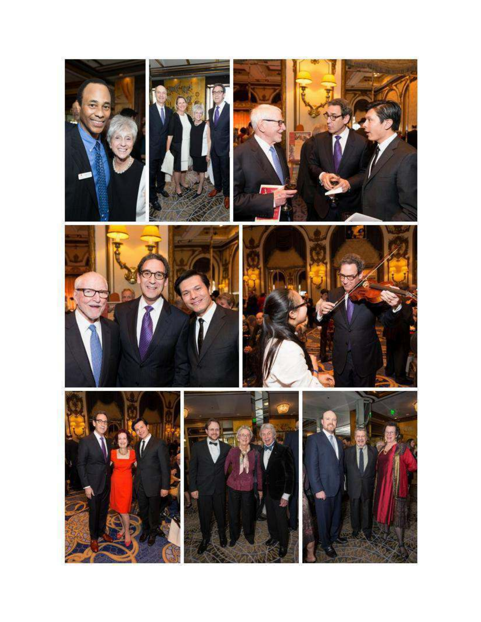